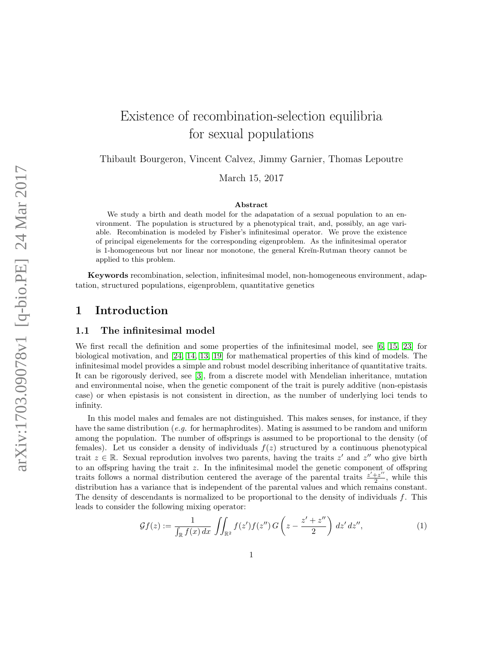# Existence of recombination-selection equilibria for sexual populations

Thibault Bourgeron, Vincent Calvez, Jimmy Garnier, Thomas Lepoutre

March 15, 2017

#### Abstract

We study a birth and death model for the adapatation of a sexual population to an environment. The population is structured by a phenotypical trait, and, possibly, an age variable. Recombination is modeled by Fisher's infinitesimal operator. We prove the existence of principal eigenelements for the corresponding eigenproblem. As the infinitesimal operator is 1-homogeneous but nor linear nor monotone, the general Kreĭn-Rutman theory cannot be applied to this problem.

Keywords recombination, selection, infinitesimal model, non-homogeneous environment, adaptation, structured populations, eigenproblem, quantitative genetics

# 1 Introduction

### 1.1 The infinitesimal model

We first recall the definition and some properties of the infinitesimal model, see [\[6,](#page-16-0) [15,](#page-16-1) [23\]](#page-17-0) for biological motivation, and [\[24,](#page-17-1) [14,](#page-16-2) [13,](#page-16-3) [19\]](#page-17-2) for mathematical properties of this kind of models. The infinitesimal model provides a simple and robust model describing inheritance of quantitative traits. It can be rigorously derived, see [\[3\]](#page-16-4), from a discrete model with Mendelian inheritance, mutation and environmental noise, when the genetic component of the trait is purely additive (non-epistasis case) or when epistasis is not consistent in direction, as the number of underlying loci tends to infinity.

In this model males and females are not distinguished. This makes senses, for instance, if they have the same distribution (*e.g.* for hermaphrodities). Mating is assumed to be random and uniform among the population. The number of offsprings is assumed to be proportional to the density (of females). Let us consider a density of individuals  $f(z)$  structured by a continuous phenotypical trait  $z \in \mathbb{R}$ . Sexual reprodution involves two parents, having the traits  $z'$  and  $z''$  who give birth to an offspring having the trait z. In the infinitesimal model the genetic component of offspring traits follows a normal distribution centered the average of the parental traits  $\frac{z'+z''}{2}$  $\frac{z}{2}$ , while this distribution has a variance that is independent of the parental values and which remains constant. The density of descendants is normalized to be proportional to the density of individuals f. This leads to consider the following mixing operator:

<span id="page-0-0"></span>
$$
\mathcal{G}f(z) := \frac{1}{\int_{\mathbb{R}} f(x) dx} \iint_{\mathbb{R}^2} f(z') f(z'') G\left(z - \frac{z' + z''}{2}\right) dz' dz'',\tag{1}
$$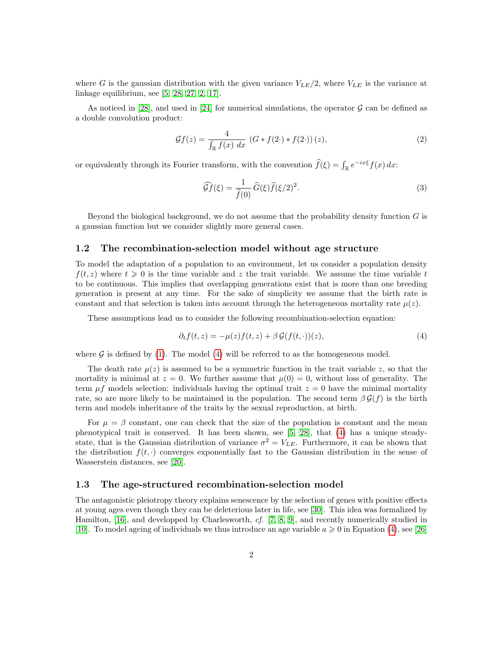where G is the gaussian distribution with the given variance  $V_{LE}/2$ , where  $V_{LE}$  is the variance at linkage equilibrium, see [\[5,](#page-16-5) [28,](#page-17-3) [27,](#page-17-4) [2,](#page-16-6) [17\]](#page-17-5).

As noticed in [\[28\]](#page-17-3), and used in [\[24\]](#page-17-1) for numerical simulations, the operator  $\mathcal G$  can be defined as a double convolution product:

<span id="page-1-1"></span>
$$
\mathcal{G}f(z) = \frac{4}{\int_{\mathbb{R}} f(x) \, dx} \left( G \ast f(2 \cdot) \ast f(2 \cdot) \right)(z),\tag{2}
$$

or equivalently through its Fourier transform, with the convention  $\hat{f}(\xi) = \int_{\mathbb{R}} e^{-ix\xi} f(x) dx$ :

$$
\widehat{\mathcal{G}f}(\xi) = \frac{1}{\widehat{f}(0)} \widehat{G}(\xi) \widehat{f}(\xi/2)^2.
$$
\n(3)

Beyond the biological background, we do not assume that the probability density function  $G$  is a gaussian function but we consider slightly more general cases.

### 1.2 The recombination-selection model without age structure

To model the adaptation of a population to an environment, let us consider a population density  $f(t, z)$  where  $t \geq 0$  is the time variable and z the trait variable. We assume the time variable t to be continuous. This implies that overlapping generations exist that is more than one breeding generation is present at any time. For the sake of simplicity we assume that the birth rate is constant and that selection is taken into account through the heterogeneous mortality rate  $\mu(z)$ .

These assumptions lead us to consider the following recombination-selection equation:

<span id="page-1-0"></span>
$$
\partial_t f(t, z) = -\mu(z) f(t, z) + \beta \mathcal{G}(f(t, \cdot))(z),\tag{4}
$$

where  $\mathcal G$  is defined by [\(1\)](#page-0-0). The model [\(4\)](#page-1-0) will be referred to as the homogeneous model.

The death rate  $\mu(z)$  is assumed to be a symmetric function in the trait variable z, so that the mortality is minimal at  $z = 0$ . We further assume that  $\mu(0) = 0$ , without loss of generality. The term  $\mu f$  models selection: individuals having the optimal trait  $z = 0$  have the minimal mortality rate, so are more likely to be maintained in the population. The second term  $\beta \mathcal{G}(f)$  is the birth term and models inheritance of the traits by the sexual reproduction, at birth.

For  $\mu = \beta$  constant, one can check that the size of the population is constant and the mean phenotypical trait is conserved. It has been shown, see [\[5,](#page-16-5) [28\]](#page-17-3), that [\(4\)](#page-1-0) has a unique steadystate, that is the Gaussian distribution of variance  $\sigma^2 = V_{LE}$ . Furthermore, it can be shown that the distribution  $f(t, \cdot)$  converges exponentially fast to the Gaussian distribution in the sense of Wasserstein distances, see [\[20\]](#page-17-6).

#### 1.3 The age-structured recombination-selection model

The antagonistic pleiotropy theory explains senescence by the selection of genes with positive effects at young ages even though they can be deleterious later in life, see [\[30\]](#page-17-7). This idea was formalized by Hamilton, [\[16\]](#page-16-7), and developped by Charlesworth, cf. [\[7,](#page-16-8) [8,](#page-16-9) [9\]](#page-16-10), and recently numerically studied in [\[10\]](#page-16-11). To model ageing of individuals we thus introduce an age variable  $a \geqslant 0$  in Equation [\(4\)](#page-1-0), see [\[26\]](#page-17-8)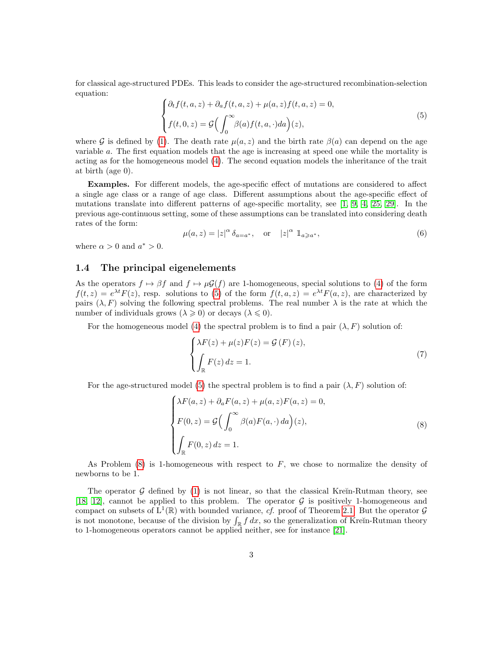for classical age-structured PDEs. This leads to consider the age-structured recombination-selection equation:

<span id="page-2-0"></span>
$$
\begin{cases} \partial_t f(t, a, z) + \partial_a f(t, a, z) + \mu(a, z) f(t, a, z) = 0, \\ f(t, 0, z) = \mathcal{G} \Big( \int_0^\infty \beta(a) f(t, a, \cdot) da \Big) (z), \end{cases} \tag{5}
$$

where G is defined by [\(1\)](#page-0-0). The death rate  $\mu(a, z)$  and the birth rate  $\beta(a)$  can depend on the age variable a. The first equation models that the age is increasing at speed one while the mortality is acting as for the homogeneous model [\(4\)](#page-1-0). The second equation models the inheritance of the trait at birth (age 0).

Examples. For different models, the age-specific effect of mutations are considered to affect a single age class or a range of age class. Different assumptions about the age-specific effect of mutations translate into different patterns of age-specific mortality, see [\[1,](#page-16-12) [9,](#page-16-10) [4,](#page-16-13) [25,](#page-17-9) [29\]](#page-17-10). In the previous age-continuous setting, some of these assumptions can be translated into considering death rates of the form:

<span id="page-2-3"></span>
$$
\mu(a, z) = |z|^{\alpha} \delta_{a=a^*}, \quad \text{or} \quad |z|^{\alpha} \mathbb{1}_{a \geq a^*}, \tag{6}
$$

where  $\alpha > 0$  and  $a^* > 0$ .

### 1.4 The principal eigenelements

As the operators  $f \mapsto \beta f$  and  $f \mapsto \mu \mathcal{G}(f)$  are 1-homogeneous, special solutions to [\(4\)](#page-1-0) of the form  $f(t, z) = e^{\lambda t} F(z)$ , resp. solutions to [\(5\)](#page-2-0) of the form  $f(t, a, z) = e^{\lambda t} F(a, z)$ , are characterized by pairs  $(\lambda, F)$  solving the following spectral problems. The real number  $\lambda$  is the rate at which the number of individuals grows  $(\lambda \geq 0)$  or decays  $(\lambda \leq 0)$ .

For the homogeneous model [\(4\)](#page-1-0) the spectral problem is to find a pair  $(\lambda, F)$  solution of:

<span id="page-2-2"></span>
$$
\begin{cases}\n\lambda F(z) + \mu(z)F(z) = \mathcal{G}(F)(z), \\
\int_{\mathbb{R}} F(z) dz = 1.\n\end{cases}
$$
\n(7)

For the age-structured model [\(5\)](#page-2-0) the spectral problem is to find a pair  $(\lambda, F)$  solution of:

<span id="page-2-1"></span>
$$
\begin{cases}\n\lambda F(a,z) + \partial_a F(a,z) + \mu(a,z)F(a,z) = 0, \\
F(0,z) = \mathcal{G}\left(\int_0^\infty \beta(a)F(a,\cdot) \, da\right)(z), \\
\int_{\mathbb{R}} F(0,z) \, dz = 1.\n\end{cases}
$$
\n(8)

As Problem  $(8)$  is 1-homogeneous with respect to F, we chose to normalize the density of newborns to be 1.

The operator  $G$  defined by [\(1\)](#page-0-0) is not linear, so that the classical Kreĭn-Rutman theory, see [\[18,](#page-17-11) [12\]](#page-16-14), cannot be applied to this problem. The operator G is positively 1-homogeneous and compact on subsets of  $L^1(\mathbb{R})$  with bounded variance, cf. proof of Theorem [2.1.](#page-3-0) But the operator  $\mathcal G$ is not monotone, because of the division by  $\int_{\mathbb{R}} f dx$ , so the generalization of Kreĭn-Rutman theory to 1-homogeneous operators cannot be applied neither, see for instance [\[21\]](#page-17-12).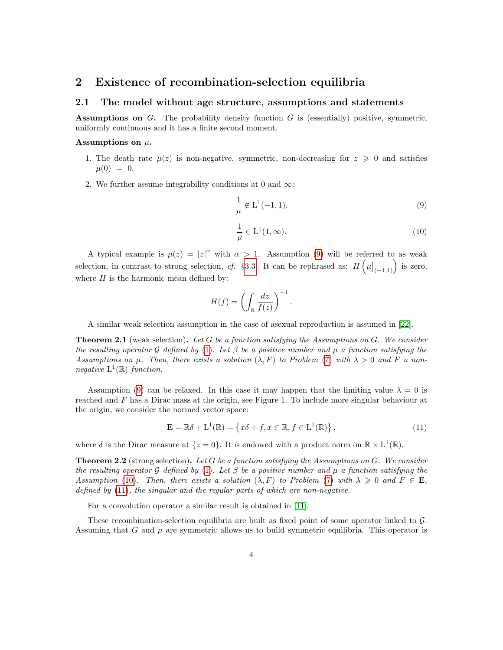# 2 Existence of recombination-selection equilibria

### 2.1 The model without age structure, assumptions and statements

Assumptions on G. The probability density function G is (essentially) positive, symmetric, uniformly continuous and it has a finite second moment.

#### Assumptions on  $\mu$ .

- 1. The death rate  $\mu(z)$  is non-negative, symmetric, non-decreasing for  $z \geq 0$  and satisfies  $\mu(0) = 0.$
- 2. We further assume integrability conditions at 0 and  $\infty$ :

<span id="page-3-1"></span>
$$
\frac{1}{\mu} \notin \mathcal{L}^1(-1, 1),\tag{9}
$$

<span id="page-3-2"></span>
$$
\frac{1}{\mu} \in L^1(1,\infty). \tag{10}
$$

A typical example is  $\mu(z) = |z|^{\alpha}$  with  $\alpha > 1$ . Assumption [\(9\)](#page-3-1) will be referred to as weak selection, in contrast to strong selection, cf. §[3.3.](#page-11-0) It can be rephrased as:  $H\left(\mu|_{(-1,1)}\right)$  is zero, where  $H$  is the harmonic mean defined by:

$$
H(f) = \left(\int_{\mathbb{R}} \frac{dz}{f(z)}\right)^{-1}
$$

A similar weak selection assumption in the case of asexual reproduction is assumed in [\[22\]](#page-17-13).

<span id="page-3-0"></span>**Theorem 2.1** (weak selection). Let G be a function satisfying the Assumptions on G. We consider the resulting operator G defined by [\(1\)](#page-0-0). Let  $\beta$  be a positive number and  $\mu$  a function satisfying the Assumptions on  $\mu$ . Then, there exists a solution  $(\lambda, F)$  to Problem [\(7\)](#page-2-2) with  $\lambda > 0$  and F a nonnegative  $L^1(\mathbb{R})$  function.

Assumption [\(9\)](#page-3-1) can be relaxed. In this case it may happen that the limiting value  $\lambda = 0$  is reached and F has a Dirac mass at the origin, see Figure 1. To include more singular behaviour at the origin, we consider the normed vector space:

<span id="page-3-3"></span>
$$
\mathbf{E} = \mathbb{R}\delta + \mathbf{L}^1(\mathbb{R}) = \left\{ x\delta + f, x \in \mathbb{R}, f \in \mathbf{L}^1(\mathbb{R}) \right\},\tag{11}
$$

.

where  $\delta$  is the Dirac measure at  $\{z=0\}$ . It is endowed with a product norm on  $\mathbb{R} \times L^1(\mathbb{R})$ .

<span id="page-3-4"></span>**Theorem 2.2** (strong selection). Let G be a function satisfying the Assumptions on G. We consider the resulting operator G defined by [\(1\)](#page-0-0). Let  $\beta$  be a positive number and  $\mu$  a function satisfying the Assumption [\(10\)](#page-3-2). Then, there exists a solution  $(\lambda, F)$  to Problem [\(7\)](#page-2-2) with  $\lambda \geq 0$  and  $F \in \mathbf{E}$ , defined by [\(11\)](#page-3-3), the singular and the regular parts of which are non-negative.

For a convolution operator a similar result is obtained in [\[11\]](#page-16-15).

These recombination-selection equilibria are built as fixed point of some operator linked to G. Assuming that G and  $\mu$  are symmetric allows us to build symmetric equilibria. This operator is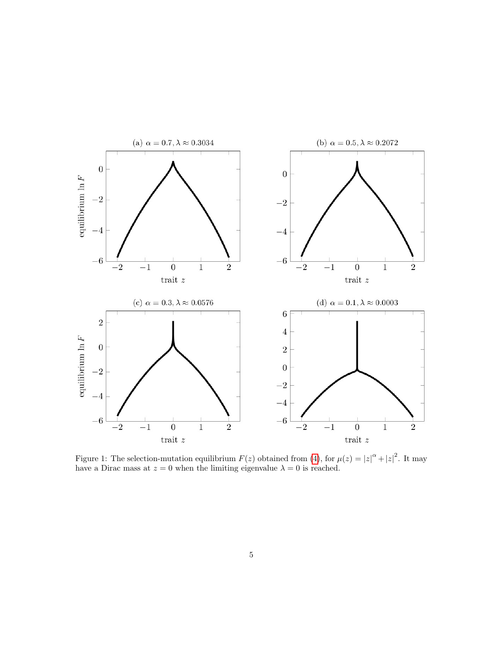

Figure 1: The selection-mutation equilibrium  $F(z)$  obtained from [\(4\)](#page-1-0), for  $\mu(z) = |z|^{\alpha} + |z|^2$ . It may have a Dirac mass at  $z = 0$  when the limiting eigenvalue  $\lambda = 0$  is reached.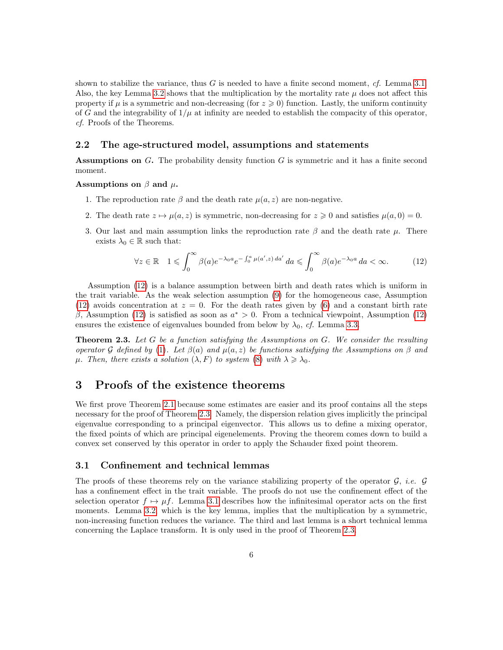shown to stabilize the variance, thus G is needed to have a finite second moment,  $cf.$  Lemma [3.1.](#page-6-0) Also, the key Lemma [3.2](#page-6-1) shows that the multiplication by the mortality rate  $\mu$  does not affect this property if  $\mu$  is a symmetric and non-decreasing (for  $z \geqslant 0$ ) function. Lastly, the uniform continuity of G and the integrability of  $1/\mu$  at infinity are needed to establish the compacity of this operator, cf. Proofs of the Theorems.

### 2.2 The age-structured model, assumptions and statements

**Assumptions on G.** The probability density function  $G$  is symmetric and it has a finite second moment.

Assumptions on  $\beta$  and  $\mu$ .

- 1. The reproduction rate  $\beta$  and the death rate  $\mu(a, z)$  are non-negative.
- 2. The death rate  $z \mapsto \mu(a, z)$  is symmetric, non-decreasing for  $z \ge 0$  and satisfies  $\mu(a, 0) = 0$ .
- 3. Our last and main assumption links the reproduction rate  $\beta$  and the death rate  $\mu$ . There exists  $\lambda_0 \in \mathbb{R}$  such that:

<span id="page-5-0"></span>
$$
\forall z \in \mathbb{R} \quad 1 \leqslant \int_0^\infty \beta(a)e^{-\lambda_0 a}e^{-\int_0^a \mu(a',z) \, da'} \, da \leqslant \int_0^\infty \beta(a)e^{-\lambda_0 a} \, da < \infty. \tag{12}
$$

Assumption [\(12\)](#page-5-0) is a balance assumption between birth and death rates which is uniform in the trait variable. As the weak selection assumption [\(9\)](#page-3-1) for the homogeneous case, Assumption [\(12\)](#page-5-0) avoids concentration at  $z = 0$ . For the death rates given by [\(6\)](#page-2-3) and a constant birth rate β, Assumption [\(12\)](#page-5-0) is satisfied as soon as  $a^* > 0$ . From a technical viewpoint, Assumption (12) ensures the existence of eigenvalues bounded from below by  $\lambda_0$ , cf. Lemma [3.3.](#page-8-0)

<span id="page-5-1"></span>**Theorem 2.3.** Let G be a function satisfying the Assumptions on G. We consider the resulting operator G defined by [\(1\)](#page-0-0). Let  $\beta(a)$  and  $\mu(a, z)$  be functions satisfying the Assumptions on  $\beta$  and  $\mu$ . Then, there exists a solution  $(\lambda, F)$  to system [\(8\)](#page-2-1) with  $\lambda \geq \lambda_0$ .

# 3 Proofs of the existence theorems

We first prove Theorem [2.1](#page-3-0) because some estimates are easier and its proof contains all the steps necessary for the proof of Theorem [2.3.](#page-5-1) Namely, the dispersion relation gives implicitly the principal eigenvalue corresponding to a principal eigenvector. This allows us to define a mixing operator, the fixed points of which are principal eigenelements. Proving the theorem comes down to build a convex set conserved by this operator in order to apply the Schauder fixed point theorem.

### 3.1 Confinement and technical lemmas

The proofs of these theorems rely on the variance stabilizing property of the operator  $G$ , *i.e.*  $G$ has a confinement effect in the trait variable. The proofs do not use the confinement effect of the selection operator  $f \mapsto \mu f$ . Lemma [3.1](#page-6-0) describes how the infinitesimal operator acts on the first moments. Lemma [3.2,](#page-6-1) which is the key lemma, implies that the multiplication by a symmetric, non-increasing function reduces the variance. The third and last lemma is a short technical lemma concerning the Laplace transform. It is only used in the proof of Theorem [2.3.](#page-5-1)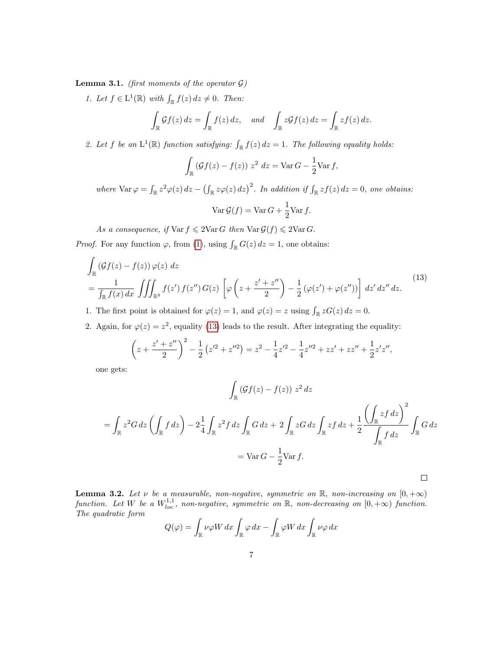<span id="page-6-0"></span>**Lemma 3.1.** (first moments of the operator  $\mathcal{G}$ )

1. Let  $f \in L^1(\mathbb{R})$  with  $\int_{\mathbb{R}} f(z) dz \neq 0$ . Then:

$$
\int_{\mathbb{R}} \mathcal{G}f(z) dz = \int_{\mathbb{R}} f(z) dz, \quad and \quad \int_{\mathbb{R}} z \mathcal{G}f(z) dz = \int_{\mathbb{R}} z f(z) dz.
$$

2. Let f be an  $L^1(\mathbb{R})$  function satisfying:  $\int_{\mathbb{R}} f(z) dz = 1$ . The following equality holds:

$$
\int_{\mathbb{R}} \left( \mathcal{G}f(z) - f(z) \right) z^2 \, dz = \text{Var}\, G - \frac{1}{2} \text{Var}\, f,
$$

where  $\text{Var}\,\varphi = \int_{\mathbb{R}} z^2 \varphi(z) \, dz - \left( \int_{\mathbb{R}} z \varphi(z) \, dz \right)^2$ . In addition if  $\int_{\mathbb{R}} z f(z) \, dz = 0$ , one obtains:

$$
\operatorname{Var} \mathcal{G}(f) = \operatorname{Var} G + \frac{1}{2} \operatorname{Var} f.
$$

As a consequence, if  $\text{Var } f \leq 2\text{Var } G$  then  $\text{Var } \mathcal{G}(f) \leq 2\text{Var } G$ .

*Proof.* For any function  $\varphi$ , from [\(1\)](#page-0-0), using  $\int_{\mathbb{R}} G(z) dz = 1$ , one obtains:

<span id="page-6-2"></span>
$$
\int_{\mathbb{R}} \left( \mathcal{G}f(z) - f(z) \right) \varphi(z) dz
$$
\n
$$
= \frac{1}{\int_{\mathbb{R}} f(x) dx} \iiint_{\mathbb{R}^3} f(z') f(z'') G(z) \left[ \varphi \left( z + \frac{z' + z''}{2} \right) - \frac{1}{2} \left( \varphi(z') + \varphi(z'') \right) \right] dz' dz'' dz.
$$
\n
$$
(13)
$$

1. The first point is obtained for  $\varphi(z) = 1$ , and  $\varphi(z) = z$  using  $\int_{\mathbb{R}} z G(z) dz = 0$ .

2. Again, for  $\varphi(z) = z^2$ , equality [\(13\)](#page-6-2) leads to the result. After integrating the equality:

$$
\left(z+\frac{z'+z''}{2}\right)^2 - \frac{1}{2}\left(z'^2+z''^2\right) = z^2 - \frac{1}{4}z'^2 - \frac{1}{4}z''^2 + zz' + zz'' + \frac{1}{2}z'z'',
$$

one gets:

$$
\int_{\mathbb{R}} \left( \mathcal{G}f(z) - f(z) \right) z^2 dz
$$
\n
$$
= \int_{\mathbb{R}} z^2 G dz \left( \int_{\mathbb{R}} f dz \right) - 2 \frac{1}{4} \int_{\mathbb{R}} z^2 f dz \int_{\mathbb{R}} G dz + 2 \int_{\mathbb{R}} z G dz \int_{\mathbb{R}} z f dz + \frac{1}{2} \frac{\left( \int_{\mathbb{R}} z f dz \right)^2}{\int_{\mathbb{R}} f dz} \int_{\mathbb{R}} G dz
$$
\n
$$
= \text{Var}\, G - \frac{1}{2} \text{Var}\, f.
$$

<span id="page-6-1"></span>**Lemma 3.2.** Let  $\nu$  be a measurable, non-negative, symmetric on  $\mathbb{R}$ , non-increasing on  $[0, +\infty)$ function. Let W be a  $W^{1,1}_{loc}$ , non-negative, symmetric on  $\mathbb R$ , non-decreasing on  $[0,+\infty)$  function. The quadratic form

$$
Q(\varphi) = \int_{\mathbb{R}} \nu \varphi W \, dx \int_{\mathbb{R}} \varphi \, dx - \int_{\mathbb{R}} \varphi W \, dx \int_{\mathbb{R}} \nu \varphi \, dx
$$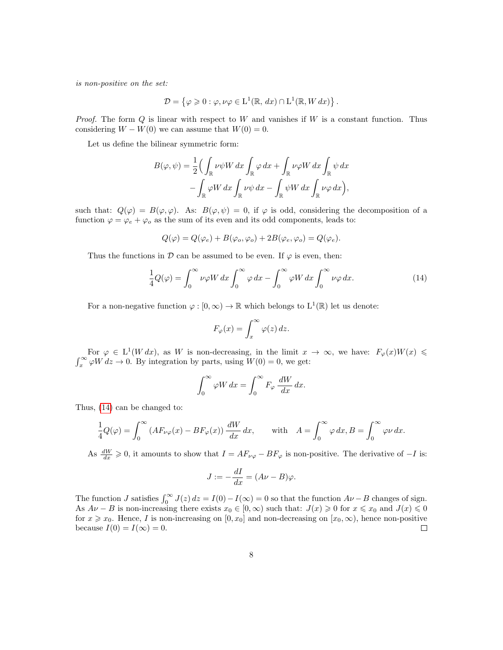is non-positive on the set:

$$
\mathcal{D} = \{ \varphi \geq 0 : \varphi, \nu \varphi \in L^1(\mathbb{R}, dx) \cap L^1(\mathbb{R}, W dx) \}.
$$

*Proof.* The form  $Q$  is linear with respect to  $W$  and vanishes if  $W$  is a constant function. Thus considering  $W - W(0)$  we can assume that  $W(0) = 0$ .

Let us define the bilinear symmetric form:

$$
B(\varphi, \psi) = \frac{1}{2} \Big( \int_{\mathbb{R}} \nu \psi W \, dx \int_{\mathbb{R}} \varphi \, dx + \int_{\mathbb{R}} \nu \varphi W \, dx \int_{\mathbb{R}} \psi \, dx - \int_{\mathbb{R}} \varphi W \, dx \int_{\mathbb{R}} \nu \psi \, dx - \int_{\mathbb{R}} \psi W \, dx \int_{\mathbb{R}} \nu \varphi \, dx \Big),
$$

such that:  $Q(\varphi) = B(\varphi, \varphi)$ . As:  $B(\varphi, \psi) = 0$ , if  $\varphi$  is odd, considering the decomposition of a function  $\varphi = \varphi_e + \varphi_o$  as the sum of its even and its odd components, leads to:

$$
Q(\varphi) = Q(\varphi_e) + B(\varphi_o, \varphi_o) + 2B(\varphi_e, \varphi_o) = Q(\varphi_e).
$$

Thus the functions in  $\mathcal D$  can be assumed to be even. If  $\varphi$  is even, then:

<span id="page-7-0"></span>
$$
\frac{1}{4}Q(\varphi) = \int_0^\infty \nu \varphi W \, dx \int_0^\infty \varphi \, dx - \int_0^\infty \varphi W \, dx \int_0^\infty \nu \varphi \, dx. \tag{14}
$$

For a non-negative function  $\varphi : [0, \infty) \to \mathbb{R}$  which belongs to  $L^1(\mathbb{R})$  let us denote:

$$
F_{\varphi}(x) = \int_x^{\infty} \varphi(z) \, dz.
$$

For  $\varphi \in L^1(W dx)$ , as W is non-decreasing, in the limit  $x \to \infty$ , we have:  $F_{\varphi}(x)W(x) \leq$  $\int_x^{\infty} \varphi W \, dz \to 0$ . By integration by parts, using  $W(0) = 0$ , we get:

$$
\int_0^\infty \varphi W \, dx = \int_0^\infty F_\varphi \, \frac{dW}{dx} \, dx.
$$

Thus, [\(14\)](#page-7-0) can be changed to:

$$
\frac{1}{4}Q(\varphi) = \int_0^\infty \left(AF_{\nu\varphi}(x) - BF_\varphi(x)\right) \frac{dW}{dx} dx, \quad \text{with} \quad A = \int_0^\infty \varphi \, dx, B = \int_0^\infty \varphi \, dx.
$$

As  $\frac{dW}{dx} \geq 0$ , it amounts to show that  $I = AF_{\nu\varphi} - BF_{\varphi}$  is non-positive. The derivative of  $-I$  is:

$$
J := -\frac{dI}{dx} = (A\nu - B)\varphi.
$$

The function J satisfies  $\int_0^\infty J(z) dz = I(0) - I(\infty) = 0$  so that the function  $A\nu - B$  changes of sign. As  $A\nu - B$  is non-increasing there exists  $x_0 \in [0,\infty)$  such that:  $J(x) \geq 0$  for  $x \leq x_0$  and  $J(x) \leq 0$ for  $x \geq x_0$ . Hence, I is non-increasing on  $[0, x_0]$  and non-decreasing on  $[x_0, \infty)$ , hence non-positive because  $I(0) = I(\infty) = 0$ .  $\Box$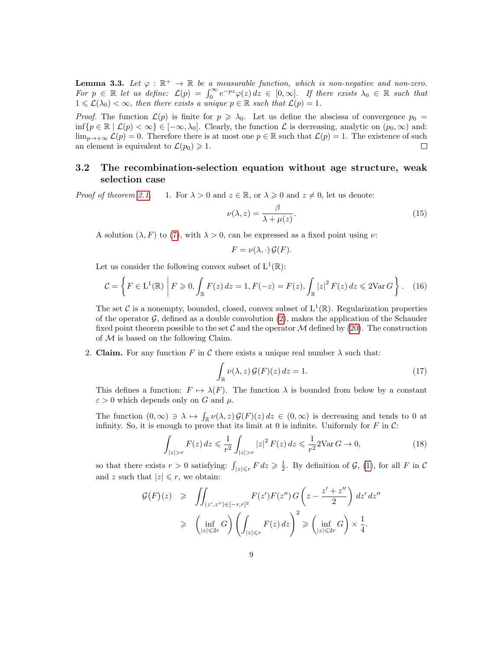<span id="page-8-0"></span>**Lemma 3.3.** Let  $\varphi : \mathbb{R}^+ \to \mathbb{R}$  be a measurable function, which is non-negative and non-zero. For  $p \in \mathbb{R}$  let us define:  $\mathcal{L}(p) = \int_0^\infty e^{-pz} \varphi(z) dz \in [0,\infty]$ . If there exists  $\lambda_0 \in \mathbb{R}$  such that  $1 \leqslant \mathcal{L}(\lambda_0) < \infty$ , then there exists a unique  $p \in \mathbb{R}$  such that  $\mathcal{L}(p) = 1$ .

*Proof.* The function  $\mathcal{L}(p)$  is finite for  $p \ge \lambda_0$ . Let us define the abscissa of convergence  $p_0 =$ inf{ $p \in \mathbb{R} \mid \mathcal{L}(p) < \infty$ }  $\in [-\infty, \lambda_0]$ . Clearly, the function  $\mathcal{L}$  is decreasing, analytic on  $(p_0, \infty)$  and:  $\lim_{p\to+\infty}\mathcal{L}(p)=0.$  Therefore there is at most one  $p\in\mathbb{R}$  such that  $\mathcal{L}(p)=1.$  The existence of such an element is equivalent to  $\mathcal{L}(p_0) \geq 1$ . □

# 3.2 The recombination-selection equation without age structure, weak selection case

*Proof of theorem [2.1.](#page-3-0)* 1. For  $\lambda > 0$  and  $z \in \mathbb{R}$ , or  $\lambda \geq 0$  and  $z \neq 0$ , let us denote:

<span id="page-8-2"></span>
$$
\nu(\lambda, z) = \frac{\beta}{\lambda + \mu(z)}.\tag{15}
$$

A solution  $(\lambda, F)$  to [\(7\)](#page-2-2), with  $\lambda > 0$ , can be expressed as a fixed point using  $\nu$ .

$$
F = \nu(\lambda, \cdot) \mathcal{G}(F).
$$

Let us consider the following convex subset of  $L^1(\mathbb{R})$ :

$$
\mathcal{C} = \left\{ F \in \mathcal{L}^1(\mathbb{R}) \middle| F \geqslant 0, \int_{\mathbb{R}} F(z) \, dz = 1, F(-z) = F(z), \int_{\mathbb{R}} |z|^2 \, F(z) \, dz \leqslant 2 \text{Var}\, G \right\}. \tag{16}
$$

The set C is a nonempty, bounded, closed, convex subset of  $L^1(\mathbb{R})$ . Regularization properties of the operator  $\mathcal{G}$ , defined as a double convolution [\(2\)](#page-1-1), makes the application of the Schauder fixed point theorem possible to the set  $\mathcal C$  and the operator  $\mathcal M$  defined by [\(20\)](#page-9-0). The construction of  $M$  is based on the following Claim.

2. Claim. For any function F in C there exists a unique real number  $\lambda$  such that:

<span id="page-8-3"></span>
$$
\int_{\mathbb{R}} \nu(\lambda, z) \mathcal{G}(F)(z) dz = 1.
$$
\n(17)

This defines a function:  $F \mapsto \lambda(F)$ . The function  $\lambda$  is bounded from below by a constant  $\varepsilon > 0$  which depends only on G and  $\mu$ .

The function  $(0, \infty) \ni \lambda \mapsto \int_{\mathbb{R}} \nu(\lambda, z) \mathcal{G}(F)(z) dz \in (0, \infty)$  is decreasing and tends to 0 at infinity. So, it is enough to prove that its limit at 0 is infinite. Uniformly for  $F$  in  $\mathcal{C}$ :

<span id="page-8-1"></span>
$$
\int_{|z|>r} F(z) dz \leq \frac{1}{r^2} \int_{|z|>r} |z|^2 F(z) dz \leq \frac{1}{r^2} 2\text{Var}\,G \to 0,
$$
\n(18)

so that there exists  $r > 0$  satisfying:  $\int_{|z| \leq r} F dz \geq \frac{1}{2}$ . By definition of  $\mathcal{G}$ , [\(1\)](#page-0-0), for all F in C and z such that  $|z| \leq r$ , we obtain:

$$
G(F)(z) \geqslant \iint_{(z',z'')\in[-r,r]^2} F(z')F(z'')G\left(z-\frac{z'+z''}{2}\right)dz'dz''
$$
  

$$
\geqslant \left(\inf_{|z|\leqslant 2r} G\right)\left(\int_{|z|\leqslant r} F(z)dz\right)^2 \geqslant \left(\inf_{|z|\leqslant 2r} G\right)\times \frac{1}{4}.
$$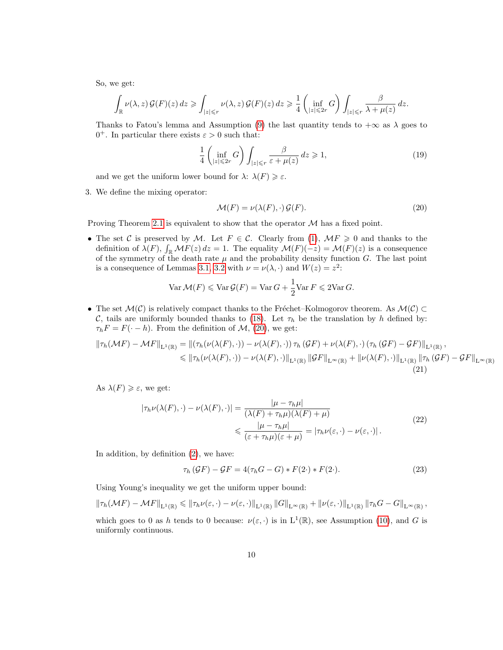So, we get:

$$
\int_{\mathbb{R}} \nu(\lambda, z) \mathcal{G}(F)(z) dz \ge \int_{|z| \le r} \nu(\lambda, z) \mathcal{G}(F)(z) dz \ge \frac{1}{4} \left( \inf_{|z| \le 2r} G \right) \int_{|z| \le r} \frac{\beta}{\lambda + \mu(z)} dz.
$$

Thanks to Fatou's lemma and Assumption [\(9\)](#page-3-1) the last quantity tends to  $+\infty$  as  $\lambda$  goes to  $0^+$ . In particular there exists  $\varepsilon > 0$  such that:

<span id="page-9-1"></span>
$$
\frac{1}{4} \left( \inf_{|z| \leqslant 2r} G \right) \int_{|z| \leqslant r} \frac{\beta}{\varepsilon + \mu(z)} dz \geqslant 1,
$$
\n(19)

and we get the uniform lower bound for  $\lambda$ :  $\lambda(F) \geq \varepsilon$ .

3. We define the mixing operator:

<span id="page-9-0"></span>
$$
\mathcal{M}(F) = \nu(\lambda(F), \cdot) \mathcal{G}(F). \tag{20}
$$

Proving Theorem [2.1](#page-3-0) is equivalent to show that the operator  $\mathcal M$  has a fixed point.

• The set C is preserved by M. Let  $F \in \mathcal{C}$ . Clearly from [\(1\)](#page-0-0),  $\mathcal{M}F \geq 0$  and thanks to the definition of  $\lambda(F)$ ,  $\int_{\mathbb{R}} \mathcal{M}F(z) dz = 1$ . The equality  $\mathcal{M}(F)(-z) = \mathcal{M}(F)(z)$  is a consequence of the symmetry of the death rate  $\mu$  and the probability density function G. The last point is a consequence of Lemmas [3.1,](#page-6-0) [3.2](#page-6-1) with  $\nu = \nu(\lambda, \cdot)$  and  $W(z) = z^2$ .

$$
\text{Var}\,\mathcal{M}(F) \leqslant \text{Var}\,\mathcal{G}(F) = \text{Var}\,G + \frac{1}{2}\text{Var}\,F \leqslant 2\text{Var}\,G.
$$

• The set  $\mathcal{M}(\mathcal{C})$  is relatively compact thanks to the Fréchet–Kolmogorov theorem. As  $\mathcal{M}(\mathcal{C}) \subset$ C, tails are uniformly bounded thanks to [\(18\)](#page-8-1). Let  $\tau_h$  be the translation by h defined by:  $\tau_h F = F(\cdot - h)$ . From the definition of M, [\(20\)](#page-9-0), we get:

$$
\|\tau_h(\mathcal{M}F) - \mathcal{M}F\|_{\mathcal{L}^1(\mathbb{R})} = \|(\tau_h(\nu(\lambda(F),\cdot)) - \nu(\lambda(F),\cdot))\tau_h(\mathcal{G}F) + \nu(\lambda(F),\cdot)(\tau_h(\mathcal{G}F) - \mathcal{G}F)\|_{\mathcal{L}^1(\mathbb{R})},
$$
  
\$\leq \|\tau\_h(\nu(\lambda(F),\cdot)) - \nu(\lambda(F),\cdot)\|\_{\mathcal{L}^1(\mathbb{R})} \|\mathcal{G}F\|\_{\mathcal{L}^\infty(\mathbb{R})} + \|\nu(\lambda(F),\cdot)\|\_{\mathcal{L}^1(\mathbb{R})} \|\tau\_h(\mathcal{G}F) - \mathcal{G}F\|\_{\mathcal{L}^\infty(\mathbb{R})} (21)

As  $\lambda(F) \geq \varepsilon$ , we get:

$$
|\tau_h \nu(\lambda(F), \cdot) - \nu(\lambda(F), \cdot)| = \frac{|\mu - \tau_h \mu|}{(\lambda(F) + \tau_h \mu)(\lambda(F) + \mu)}
$$
  
\$\leqslant \frac{|\mu - \tau\_h \mu|}{(\varepsilon + \tau\_h \mu)(\varepsilon + \mu)} = |\tau\_h \nu(\varepsilon, \cdot) - \nu(\varepsilon, \cdot)|.\$

In addition, by definition [\(2\)](#page-1-1), we have:

$$
\tau_h \left( \mathcal{G} F \right) - \mathcal{G} F = 4(\tau_h G - G) * F(2 \cdot) * F(2 \cdot). \tag{23}
$$

Using Young's inequality we get the uniform upper bound:

$$
\|\tau_h(\mathcal{M}F) - \mathcal{M}F\|_{\mathrm{L}^1(\mathbb{R})} \le \|\tau_h\nu(\varepsilon,\cdot) - \nu(\varepsilon,\cdot)\|_{\mathrm{L}^1(\mathbb{R})} \|G\|_{\mathrm{L}^{\infty}(\mathbb{R})} + \|\nu(\varepsilon,\cdot)\|_{\mathrm{L}^1(\mathbb{R})} \|\tau_hG - G\|_{\mathrm{L}^{\infty}(\mathbb{R})},
$$

which goes to 0 as h tends to 0 because:  $\nu(\varepsilon, \cdot)$  is in  $L^1(\mathbb{R})$ , see Assumption [\(10\)](#page-3-2), and G is uniformly continuous.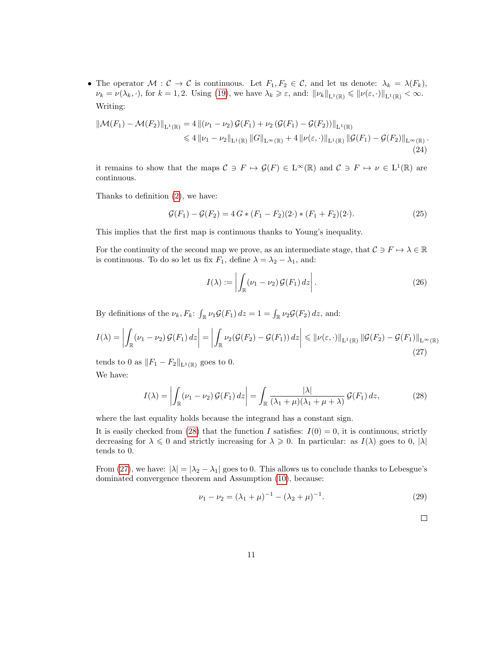• The operator  $\mathcal{M}: \mathcal{C} \to \mathcal{C}$  is continuous. Let  $F_1, F_2 \in \mathcal{C}$ , and let us denote:  $\lambda_k = \lambda(F_k)$ ,  $\nu_k = \nu(\lambda_k, \cdot)$ , for  $k = 1, 2$ . Using [\(19\)](#page-9-1), we have  $\lambda_k \geq \varepsilon$ , and:  $\|\nu_k\|_{L^1(\mathbb{R})} \leq \|\nu(\varepsilon, \cdot)\|_{L^1(\mathbb{R})} < \infty$ . Writing:

<span id="page-10-3"></span>
$$
\|\mathcal{M}(F_1) - \mathcal{M}(F_2)\|_{\mathbf{L}^1(\mathbb{R})} = 4 \left\| (\nu_1 - \nu_2) \mathcal{G}(F_1) + \nu_2 (\mathcal{G}(F_1) - \mathcal{G}(F_2)) \right\|_{\mathbf{L}^1(\mathbb{R})} \n\leq 4 \left\| \nu_1 - \nu_2 \right\|_{\mathbf{L}^1(\mathbb{R})} \left\| G \right\|_{\mathbf{L}^\infty(\mathbb{R})} + 4 \left\| \nu(\varepsilon, \cdot) \right\|_{\mathbf{L}^1(\mathbb{R})} \left\| \mathcal{G}(F_1) - \mathcal{G}(F_2) \right\|_{\mathbf{L}^\infty(\mathbb{R})}.
$$
\n(24)

it remains to show that the maps  $C \ni F \mapsto \mathcal{G}(F) \in L^{\infty}(\mathbb{R})$  and  $C \ni F \mapsto \nu \in L^{1}(\mathbb{R})$  are continuous.

Thanks to definition [\(2\)](#page-1-1), we have:

<span id="page-10-2"></span>
$$
\mathcal{G}(F_1) - \mathcal{G}(F_2) = 4 G \ast (F_1 - F_2)(2 \cdot) \ast (F_1 + F_2)(2 \cdot). \tag{25}
$$

This implies that the first map is continuous thanks to Young's inequality.

For the continuity of the second map we prove, as an intermediate stage, that  $C \ni F \mapsto \lambda \in \mathbb{R}$ is continuous. To do so let us fix  $F_1$ , define  $\lambda = \lambda_2 - \lambda_1$ , and:

$$
I(\lambda) := \left| \int_{\mathbb{R}} (\nu_1 - \nu_2) \mathcal{G}(F_1) \, dz \right|.
$$
 (26)

By definitions of the  $\nu_k$ ,  $F_k$ :  $\int_{\mathbb{R}} \nu_1 \mathcal{G}(F_1) dz = 1 = \int_{\mathbb{R}} \nu_2 \mathcal{G}(F_2) dz$ , and:

<span id="page-10-1"></span>
$$
I(\lambda) = \left| \int_{\mathbb{R}} (\nu_1 - \nu_2) \mathcal{G}(F_1) dz \right| = \left| \int_{\mathbb{R}} \nu_2(\mathcal{G}(F_2) - \mathcal{G}(F_1)) dz \right| \leqslant \|\nu(\varepsilon, \cdot)\|_{\mathcal{L}^1(\mathbb{R})} \|\mathcal{G}(F_2) - \mathcal{G}(F_1)\|_{\mathcal{L}^\infty(\mathbb{R})}
$$
\n(27)

tends to 0 as  $||F_1 - F_2||_{\mathbf{L}^1(\mathbb{R})}$  goes to 0.

We have:

<span id="page-10-0"></span>
$$
I(\lambda) = \left| \int_{\mathbb{R}} (\nu_1 - \nu_2) \mathcal{G}(F_1) dz \right| = \int_{\mathbb{R}} \frac{|\lambda|}{(\lambda_1 + \mu)(\lambda_1 + \mu + \lambda)} \mathcal{G}(F_1) dz,
$$
 (28)

where the last equality holds because the integrand has a constant sign.

It is easily checked from [\(28\)](#page-10-0) that the function I satisfies:  $I(0) = 0$ , it is continuous, strictly decreasing for  $\lambda \leq 0$  and strictly increasing for  $\lambda \geq 0$ . In particular: as  $I(\lambda)$  goes to 0,  $|\lambda|$ tends to 0.

From [\(27\)](#page-10-1), we have:  $|\lambda| = |\lambda_2 - \lambda_1|$  goes to 0. This allows us to conclude thanks to Lebesgue's dominated convergence theorem and Assumption [\(10\)](#page-3-2), because:

<span id="page-10-4"></span>
$$
\nu_1 - \nu_2 = (\lambda_1 + \mu)^{-1} - (\lambda_2 + \mu)^{-1}.
$$
\n(29)

 $\Box$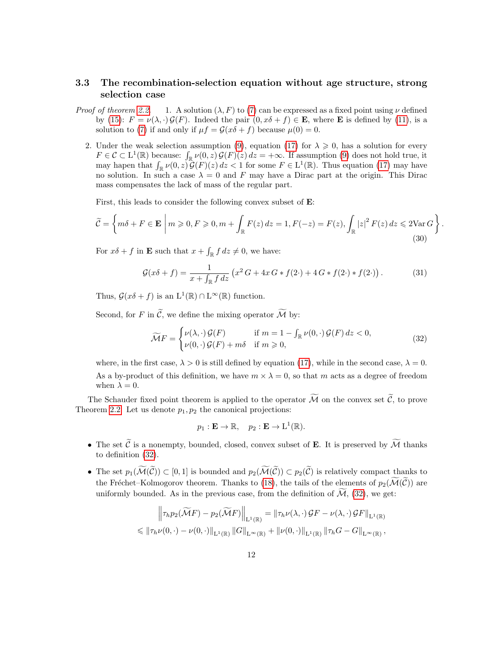# <span id="page-11-0"></span>3.3 The recombination-selection equation without age structure, strong selection case

- *Proof of theorem [2.2.](#page-3-4)* 1. A solution  $(\lambda, F)$  to [\(7\)](#page-2-2) can be expressed as a fixed point using  $\nu$  defined by [\(15\)](#page-8-2):  $F = \nu(\lambda, \cdot) \mathcal{G}(F)$ . Indeed the pair  $(0, x\delta + f) \in \mathbf{E}$ , where **E** is defined by [\(11\)](#page-3-3), is a solution to [\(7\)](#page-2-2) if and only if  $\mu f = \mathcal{G}(x\delta + f)$  because  $\mu(0) = 0$ .
	- 2. Under the weak selection assumption [\(9\)](#page-3-1), equation [\(17\)](#page-8-3) for  $\lambda \geqslant 0$ , has a solution for every  $F \in \mathcal{C} \subset L^1(\mathbb{R})$  because:  $\int_{\mathbb{R}} \nu(0, z) \mathcal{G}(F)(z) dz = +\infty$ . If assumption [\(9\)](#page-3-1) does not hold true, it may hapen that  $\int_{\mathbb{R}} \nu(0, z) \mathcal{G}(F)(z) dz < 1$  for some  $F \in L^1(\mathbb{R})$ . Thus equation [\(17\)](#page-8-3) may have no solution. In such a case  $\lambda = 0$  and F may have a Dirac part at the origin. This Dirac mass compensates the lack of mass of the regular part.

First, this leads to consider the following convex subset of E:

<span id="page-11-3"></span>
$$
\widetilde{\mathcal{C}} = \left\{ m\delta + F \in \mathbf{E} \mid m \geqslant 0, F \geqslant 0, m + \int_{\mathbb{R}} F(z) \, dz = 1, F(-z) = F(z), \int_{\mathbb{R}} |z|^2 \, F(z) \, dz \leqslant 2\text{Var}\,G \right\}
$$
\n
$$
(30)
$$

For  $x\delta + f$  in **E** such that  $x + \int_{\mathbb{R}} f \, dz \neq 0$ , we have:

<span id="page-11-2"></span>
$$
\mathcal{G}(x\delta + f) = \frac{1}{x + \int_{\mathbb{R}} f \, dz} \left( x^2 G + 4x G \ast f(2 \cdot) + 4 G \ast f(2 \cdot) \ast f(2 \cdot) \right). \tag{31}
$$

.

Thus,  $\mathcal{G}(x\delta + f)$  is an  $L^1(\mathbb{R}) \cap L^\infty(\mathbb{R})$  function.

Second, for F in  $\widetilde{\mathcal{C}}$ , we define the mixing operator  $\widetilde{\mathcal{M}}$  by:

<span id="page-11-1"></span>
$$
\widetilde{\mathcal{M}}F = \begin{cases} \nu(\lambda, \cdot) \mathcal{G}(F) & \text{if } m = 1 - \int_{\mathbb{R}} \nu(0, \cdot) \mathcal{G}(F) \, dz < 0, \\ \nu(0, \cdot) \mathcal{G}(F) + m\delta & \text{if } m \ge 0, \end{cases} \tag{32}
$$

where, in the first case,  $\lambda > 0$  is still defined by equation [\(17\)](#page-8-3), while in the second case,  $\lambda = 0$ . As a by-product of this definition, we have  $m \times \lambda = 0$ , so that m acts as a degree of freedom when  $\lambda = 0$ .

The Schauder fixed point theorem is applied to the operator  $\widetilde{M}$  on the convex set  $\widetilde{C}$ , to prove Theorem [2.2.](#page-3-4) Let us denote  $p_1, p_2$  the canonical projections:

$$
p_1 : \mathbf{E} \to \mathbb{R}, \quad p_2 : \mathbf{E} \to \mathbf{L}^1(\mathbb{R}).
$$

- The set  $\widetilde{C}$  is a nonempty, bounded, closed, convex subset of **E**. It is preserved by  $\widetilde{\mathcal{M}}$  thanks to definition [\(32\)](#page-11-1).
- The set  $p_1(\widetilde{\mathcal{M}}(\widetilde{\mathcal{C}})) \subset [0,1]$  is bounded and  $p_2(\widetilde{\mathcal{M}}(\widetilde{\mathcal{C}})) \subset p_2(\widetilde{\mathcal{C}})$  is relatively compact thanks to the Fréchet–Kolmogorov theorem. Thanks to [\(18\)](#page-8-1), the tails of the elements of  $p_2(\widetilde{\mathcal{M}}(\widetilde{\mathcal{C}}))$  are uniformly bounded. As in the previous case, from the definition of  $\mathcal{M}_1$ , [\(32\)](#page-11-1), we get:

$$
\left\|\tau_h p_2(\widetilde{\mathcal{M}}F) - p_2(\widetilde{\mathcal{M}}F)\right\|_{\mathrm{L}^1(\mathbb{R})} = \left\|\tau_h \nu(\lambda, \cdot) \mathcal{G}F - \nu(\lambda, \cdot) \mathcal{G}F\right\|_{\mathrm{L}^1(\mathbb{R})}
$$
  
\$\leqslant \|\tau\_h \nu(0, \cdot) - \nu(0, \cdot)\|\_{\mathrm{L}^1(\mathbb{R})} \|G\|\_{\mathrm{L}^{\infty}(\mathbb{R})} + \|\nu(0, \cdot)\|\_{\mathrm{L}^1(\mathbb{R})} \|\tau\_h G - G\|\_{\mathrm{L}^{\infty}(\mathbb{R})},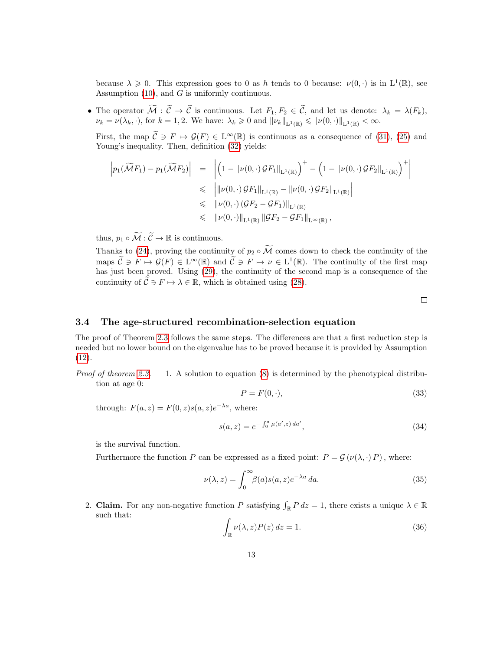because  $\lambda \geq 0$ . This expression goes to 0 as h tends to 0 because:  $\nu(0, \cdot)$  is in  $L^1(\mathbb{R})$ , see Assumption  $(10)$ , and G is uniformly continuous.

• The operator  $M : \mathcal{C} \to \mathcal{C}$  is continuous. Let  $F_1, F_2 \in \mathcal{C}$ , and let us denote:  $\lambda_k = \lambda(F_k)$ ,  $\nu_k = \nu(\lambda_k, \cdot)$ , for  $k = 1, 2$ . We have:  $\lambda_k \geq 0$  and  $\|\nu_k\|_{L^1(\mathbb{R})} \leq \|\nu(0, \cdot)\|_{L^1(\mathbb{R})} < \infty$ .

First, the map  $\mathcal{C} \ni F \mapsto \mathcal{G}(F) \in L^{\infty}(\mathbb{R})$  is continuous as a consequence of [\(31\)](#page-11-2), [\(25\)](#page-10-2) and Young's inequality. Then, definition  $(32)$  yields:

$$
\begin{array}{rcl} \left|p_1(\widetilde{\mathcal{M}}F_1) - p_1(\widetilde{\mathcal{M}}F_2)\right| & = & \left| \left(1 - \|\nu(0, \cdot) \mathcal{G}F_1\|_{\mathrm{L}^1(\mathbb{R})}\right)^+ - \left(1 - \|\nu(0, \cdot) \mathcal{G}F_2\|_{\mathrm{L}^1(\mathbb{R})}\right)^+\right| \\ & \leq & \left|\|\nu(0, \cdot) \mathcal{G}F_1\|_{\mathrm{L}^1(\mathbb{R})} - \|\nu(0, \cdot) \mathcal{G}F_2\|_{\mathrm{L}^1(\mathbb{R})}\right| \\ & \leqslant & \|\nu(0, \cdot) \left(\mathcal{G}F_2 - \mathcal{G}F_1\right)\|_{\mathrm{L}^1(\mathbb{R})} \\ & \leqslant & \|\nu(0, \cdot)\|_{\mathrm{L}^1(\mathbb{R})} \left\|\mathcal{G}F_2 - \mathcal{G}F_1\|_{\mathrm{L}^{\infty}(\mathbb{R})}, \end{array}
$$

thus,  $p_1\circ\widetilde{\mathcal{M}}:\widetilde{\mathcal{C}}\to\mathbb{R}$  is continuous.

Thanks to [\(24\)](#page-10-3), proving the continuity of  $p_2 \circ \widetilde{\mathcal{M}}$  comes down to check the continuity of the maps  $\widetilde{\mathcal{C}} \ni F \mapsto \mathcal{G}(F) \in L^{\infty}(\mathbb{R})$  and  $\widetilde{\mathcal{C}} \ni F \mapsto \nu \in L^{1}(\mathbb{R})$ . The continuity of the first map has just been proved. Using [\(29\)](#page-10-4), the continuity of the second map is a consequence of the continuity of  $\widetilde{\mathcal{C}} \ni F \mapsto \lambda \in \mathbb{R}$ , which is obtained using [\(28\)](#page-10-0).

 $\Box$ 

### 3.4 The age-structured recombination-selection equation

The proof of Theorem [2.3](#page-5-1) follows the same steps. The differences are that a first reduction step is needed but no lower bound on the eigenvalue has to be proved because it is provided by Assumption [\(12\)](#page-5-0).

*Proof of theorem [2.3.](#page-5-1)* 1. A solution to equation  $(8)$  is determined by the phenotypical distribution at age 0:

$$
P = F(0, \cdot),\tag{33}
$$

through:  $F(a, z) = F(0, z)s(a, z)e^{-\lambda a}$ , where:

$$
s(a, z) = e^{-\int_0^a \mu(a', z) \, da'},\tag{34}
$$

is the survival function.

Furthermore the function P can be expressed as a fixed point:  $P = \mathcal{G}(\nu(\lambda, \cdot) P)$ , where:

$$
\nu(\lambda, z) = \int_0^\infty \beta(a) s(a, z) e^{-\lambda a} da.
$$
\n(35)

2. Claim. For any non-negative function P satisfying  $\int_{\mathbb{R}} P dz = 1$ , there exists a unique  $\lambda \in \mathbb{R}$ such that:

$$
\int_{\mathbb{R}} \nu(\lambda, z) P(z) dz = 1.
$$
\n(36)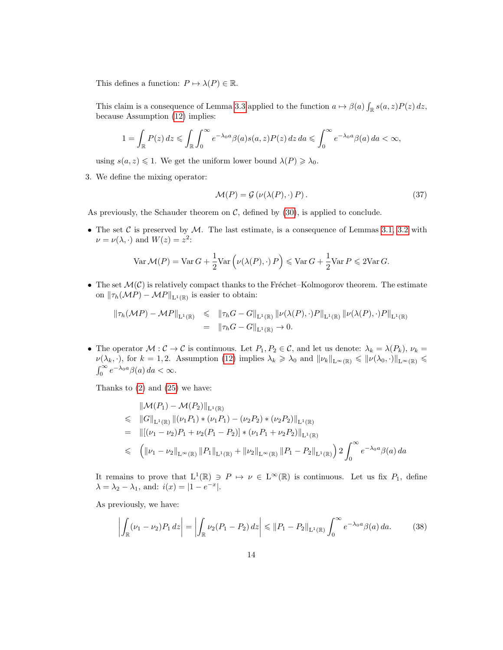This defines a function:  $P \mapsto \lambda(P) \in \mathbb{R}$ .

This claim is a consequence of Lemma [3.3](#page-8-0) applied to the function  $a \mapsto \beta(a) \int_{\mathbb{R}} s(a, z) P(z) dz$ , because Assumption [\(12\)](#page-5-0) implies:

$$
1 = \int_{\mathbb{R}} P(z) dz \leqslant \int_{\mathbb{R}} \int_0^{\infty} e^{-\lambda_0 a} \beta(a) s(a, z) P(z) dz da \leqslant \int_0^{\infty} e^{-\lambda_0 a} \beta(a) da < \infty,
$$

using  $s(a, z) \leq 1$ . We get the uniform lower bound  $\lambda(P) \geq \lambda_0$ .

3. We define the mixing operator:

$$
\mathcal{M}(P) = \mathcal{G}\left(\nu(\lambda(P), \cdot) P\right). \tag{37}
$$

As previously, the Schauder theorem on  $\mathcal{C}$ , defined by [\(30\)](#page-11-3), is applied to conclude.

• The set  $C$  is preserved by  $M$ . The last estimate, is a consequence of Lemmas [3.1,](#page-6-0) [3.2](#page-6-1) with  $\nu = \nu(\lambda, \cdot)$  and  $W(z) = z^2$ :

$$
\text{Var}\,\mathcal{M}(P) = \text{Var}\,G + \frac{1}{2}\text{Var}\left(\nu(\lambda(P), \cdot) \, P\right) \leq \text{Var}\,G + \frac{1}{2}\text{Var}\,P \leq 2\text{Var}\,G.
$$

• The set  $\mathcal{M}(\mathcal{C})$  is relatively compact thanks to the Fréchet–Kolmogorov theorem. The estimate on  $\|\tau_h(\mathcal{M}P) - \mathcal{M}P\|_{\mathbf{L}^1(\mathbb{R})}$  is easier to obtain:

$$
\begin{array}{rcl}\n\|\tau_h(\mathcal{M}P) - \mathcal{M}P\|_{\mathrm{L}^1(\mathbb{R})} & \leqslant & \|\tau_h G - G\|_{\mathrm{L}^1(\mathbb{R})} \|\nu(\lambda(P), \cdot)P\|_{\mathrm{L}^1(\mathbb{R})} \|\nu(\lambda(P), \cdot)P\|_{\mathrm{L}^1(\mathbb{R})} \\
& = & \|\tau_h G - G\|_{\mathrm{L}^1(\mathbb{R})} \to 0.\n\end{array}
$$

• The operator  $M: \mathcal{C} \to \mathcal{C}$  is continuous. Let  $P_1, P_2 \in \mathcal{C}$ , and let us denote:  $\lambda_k = \lambda(P_k), \nu_k =$  $\nu(\lambda_k, \cdot)$ , for  $k = 1, 2$ . Assumption [\(12\)](#page-5-0) implies  $\lambda_k \geq \lambda_0$  and  $\|\nu_k\|_{L^{\infty}(\mathbb{R})} \leq \|\nu(\lambda_0, \cdot)\|_{L^{\infty}(\mathbb{R})} \leq$  $\int_0^\infty e^{-\lambda_0 a} \beta(a) \, da < \infty.$ 

Thanks to [\(2\)](#page-1-1) and [\(25\)](#page-10-2) we have:

$$
\|\mathcal{M}(P_1) - \mathcal{M}(P_2)\|_{\mathcal{L}^1(\mathbb{R})}
$$
  
\n
$$
\leq \|G\|_{\mathcal{L}^1(\mathbb{R})} \|(\nu_1 P_1) * (\nu_1 P_1) - (\nu_2 P_2) * (\nu_2 P_2)\|_{\mathcal{L}^1(\mathbb{R})}
$$
  
\n
$$
= \|[(\nu_1 - \nu_2)P_1 + \nu_2(P_1 - P_2)] * (\nu_1 P_1 + \nu_2 P_2)\|_{\mathcal{L}^1(\mathbb{R})}
$$
  
\n
$$
\leq (\|\nu_1 - \nu_2\|_{\mathcal{L}^\infty(\mathbb{R})} \|P_1\|_{\mathcal{L}^1(\mathbb{R})} + \|\nu_2\|_{\mathcal{L}^\infty(\mathbb{R})} \|P_1 - P_2\|_{\mathcal{L}^1(\mathbb{R})}) 2 \int_0^\infty e^{-\lambda_0 a} \beta(a) da
$$

It remains to prove that  $L^1(\mathbb{R}) \ni P \mapsto \nu \in L^{\infty}(\mathbb{R})$  is continuous. Let us fix  $P_1$ , define  $\lambda = \lambda_2 - \lambda_1$ , and:  $i(x) = |1 - e^{-x}|$ .

As previously, we have:

<span id="page-13-0"></span>
$$
\left| \int_{\mathbb{R}} (\nu_1 - \nu_2) P_1 dz \right| = \left| \int_{\mathbb{R}} \nu_2 (P_1 - P_2) dz \right| \leq \| P_1 - P_2 \|_{\mathcal{L}^1(\mathbb{R})} \int_0^\infty e^{-\lambda_0 a} \beta(a) da. \tag{38}
$$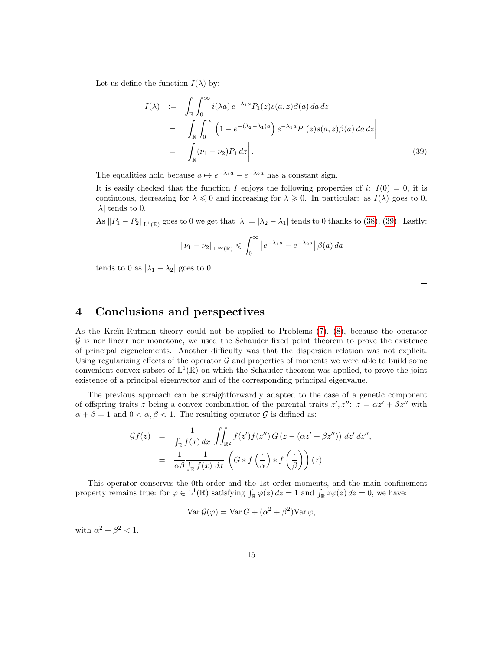Let us define the function  $I(\lambda)$  by:

<span id="page-14-0"></span>
$$
I(\lambda) := \int_{\mathbb{R}} \int_0^{\infty} i(\lambda a) e^{-\lambda_1 a} P_1(z) s(a, z) \beta(a) da dz
$$
  
\n
$$
= \left| \int_{\mathbb{R}} \int_0^{\infty} \left( 1 - e^{-(\lambda_2 - \lambda_1)a} \right) e^{-\lambda_1 a} P_1(z) s(a, z) \beta(a) da dz \right|
$$
  
\n
$$
= \left| \int_{\mathbb{R}} (\nu_1 - \nu_2) P_1 dz \right|.
$$
 (39)

The equalities hold because  $a \mapsto e^{-\lambda_1 a} - e^{-\lambda_2 a}$  has a constant sign.

It is easily checked that the function I enjoys the following properties of i:  $I(0) = 0$ , it is continuous, decreasing for  $\lambda \leq 0$  and increasing for  $\lambda \geq 0$ . In particular: as  $I(\lambda)$  goes to 0,  $|\lambda|$  tends to 0.

As  $||P_1 - P_2||_{\mathbf{L}^1(\mathbb{R})}$  goes to 0 we get that  $|\lambda| = |\lambda_2 - \lambda_1|$  tends to 0 thanks to [\(38\)](#page-13-0), [\(39\)](#page-14-0). Lastly:

$$
\|\nu_1 - \nu_2\|_{L^{\infty}(\mathbb{R})} \leqslant \int_0^{\infty} \left|e^{-\lambda_1 a} - e^{-\lambda_2 a}\right| \beta(a) da
$$

tends to 0 as  $|\lambda_1 - \lambda_2|$  goes to 0.

 $\Box$ 

# 4 Conclusions and perspectives

As the Kreĭn-Rutman theory could not be applied to Problems  $(7)$ ,  $(8)$ , because the operator  $\mathcal G$  is nor linear nor monotone, we used the Schauder fixed point theorem to prove the existence of principal eigenelements. Another difficulty was that the dispersion relation was not explicit. Using regularizing effects of the operator  $G$  and properties of moments we were able to build some convenient convex subset of  $L^1(\mathbb{R})$  on which the Schauder theorem was applied, to prove the joint existence of a principal eigenvector and of the corresponding principal eigenvalue.

The previous approach can be straightforwardly adapted to the case of a genetic component of offspring traits z being a convex combination of the parental traits  $z', z''$ :  $z = \alpha z' + \beta z''$  with  $\alpha + \beta = 1$  and  $0 < \alpha, \beta < 1$ . The resulting operator G is defined as:

$$
\mathcal{G}f(z) = \frac{1}{\int_{\mathbb{R}} f(x) dx} \iint_{\mathbb{R}^2} f(z') f(z'') G(z - (\alpha z' + \beta z'')) dz' dz'',
$$
  

$$
= \frac{1}{\alpha \beta} \frac{1}{\int_{\mathbb{R}} f(x) dx} \left( G * f\left(\frac{.}{\alpha}\right) * f\left(\frac{.}{\beta}\right) \right)(z).
$$

This operator conserves the 0th order and the 1st order moments, and the main confinement property remains true: for  $\varphi \in L^1(\mathbb{R})$  satisfying  $\int_{\mathbb{R}} \varphi(z) dz = 1$  and  $\int_{\mathbb{R}} z\varphi(z) dz = 0$ , we have:

$$
\operatorname{Var} \mathcal{G}(\varphi) = \operatorname{Var} G + (\alpha^2 + \beta^2) \operatorname{Var} \varphi,
$$

with  $\alpha^2 + \beta^2 < 1$ .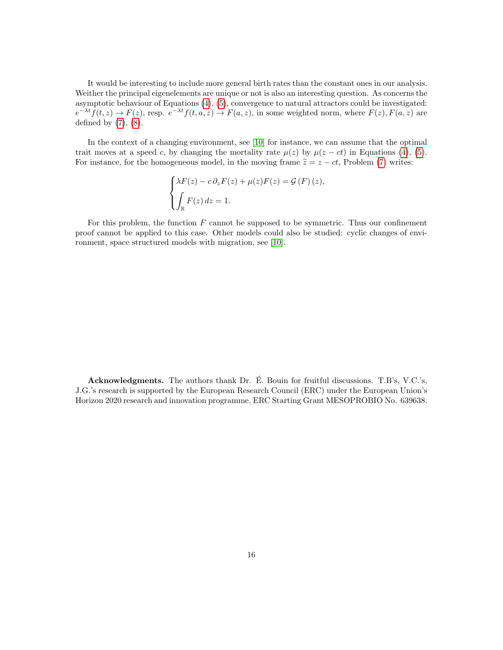It would be interesting to include more general birth rates than the constant ones in our analysis. Weither the principal eigenelements are unique or not is also an interesting question. As concerns the asymptotic behaviour of Equations [\(4\)](#page-1-0), [\(5\)](#page-2-0), convergence to natural attractors could be investigated:  $e^{-\lambda t}f(t,z) \to F(z)$ , resp.  $e^{-\lambda t}f(t,a,z) \to F(a,z)$ , in some weighted norm, where  $F(z)$ ,  $F(a,z)$  are defined by  $(7)$ ,  $(8)$ .

In the context of a changing environment, see [\[10\]](#page-16-11) for instance, we can assume that the optimal trait moves at a speed c, by changing the mortality rate  $\mu(z)$  by  $\mu(z-ct)$  in Equations [\(4\)](#page-1-0), [\(5\)](#page-2-0). For instance, for the homogeneous model, in the moving frame  $\tilde{z} = z - ct$ , Problem [\(7\)](#page-2-2) writes:

$$
\begin{cases}\n\lambda F(z) - c \partial_z F(z) + \mu(z) F(z) = \mathcal{G}(F)(z), \\
\int_{\mathbb{R}} F(z) dz = 1.\n\end{cases}
$$

For this problem, the function  $F$  cannot be supposed to be symmetric. Thus our confinement proof cannot be applied to this case. Other models could also be studied: cyclic changes of environment, space structured models with migration, see [\[10\]](#page-16-11).

Acknowledgments. The authors thank Dr. E. Bouin for fruitful discussions. T.B's, V.C.'s, ´ J.G.'s research is supported by the European Research Council (ERC) under the European Union's Horizon 2020 research and innovation programme, ERC Starting Grant MESOPROBIO No. 639638.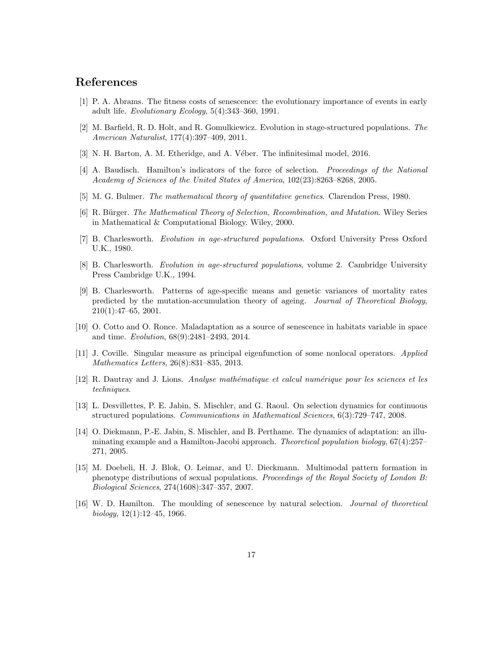# References

- <span id="page-16-12"></span>[1] P. A. Abrams. The fitness costs of senescence: the evolutionary importance of events in early adult life. Evolutionary Ecology, 5(4):343–360, 1991.
- <span id="page-16-6"></span>[2] M. Barfield, R. D. Holt, and R. Gomulkiewicz. Evolution in stage-structured populations. The American Naturalist, 177(4):397–409, 2011.
- <span id="page-16-4"></span>[3] N. H. Barton, A. M. Etheridge, and A. Véber. The infinitesimal model, 2016.
- <span id="page-16-13"></span>[4] A. Baudisch. Hamilton's indicators of the force of selection. Proceedings of the National Academy of Sciences of the United States of America, 102(23):8263–8268, 2005.
- <span id="page-16-5"></span>[5] M. G. Bulmer. *The mathematical theory of quantitative genetics*. Clarendon Press, 1980.
- <span id="page-16-0"></span>[6] R. Bürger. The Mathematical Theory of Selection, Recombination, and Mutation. Wiley Series in Mathematical & Computational Biology. Wiley, 2000.
- <span id="page-16-8"></span>[7] B. Charlesworth. Evolution in age-structured populations. Oxford University Press Oxford U.K., 1980.
- <span id="page-16-9"></span>[8] B. Charlesworth. Evolution in age-structured populations, volume 2. Cambridge University Press Cambridge U.K., 1994.
- <span id="page-16-10"></span>[9] B. Charlesworth. Patterns of age-specific means and genetic variances of mortality rates predicted by the mutation-accumulation theory of ageing. Journal of Theoretical Biology, 210(1):47–65, 2001.
- <span id="page-16-11"></span>[10] O. Cotto and O. Ronce. Maladaptation as a source of senescence in habitats variable in space and time. Evolution, 68(9):2481–2493, 2014.
- <span id="page-16-15"></span>[11] J. Coville. Singular measure as principal eigenfunction of some nonlocal operators. Applied Mathematics Letters, 26(8):831–835, 2013.
- <span id="page-16-14"></span>[12] R. Dautray and J. Lions. Analyse mathématique et calcul numérique pour les sciences et les techniques.
- <span id="page-16-3"></span>[13] L. Desvillettes, P. E. Jabin, S. Mischler, and G. Raoul. On selection dynamics for continuous structured populations. Communications in Mathematical Sciences, 6(3):729–747, 2008.
- <span id="page-16-2"></span>[14] O. Diekmann, P.-E. Jabin, S. Mischler, and B. Perthame. The dynamics of adaptation: an illuminating example and a Hamilton-Jacobi approach. *Theoretical population biology*, 67(4):257– 271, 2005.
- <span id="page-16-1"></span>[15] M. Doebeli, H. J. Blok, O. Leimar, and U. Dieckmann. Multimodal pattern formation in phenotype distributions of sexual populations. Proceedings of the Royal Society of London B: Biological Sciences, 274(1608):347–357, 2007.
- <span id="page-16-7"></span>[16] W. D. Hamilton. The moulding of senescence by natural selection. Journal of theoretical biology,  $12(1):12-45$ , 1966.